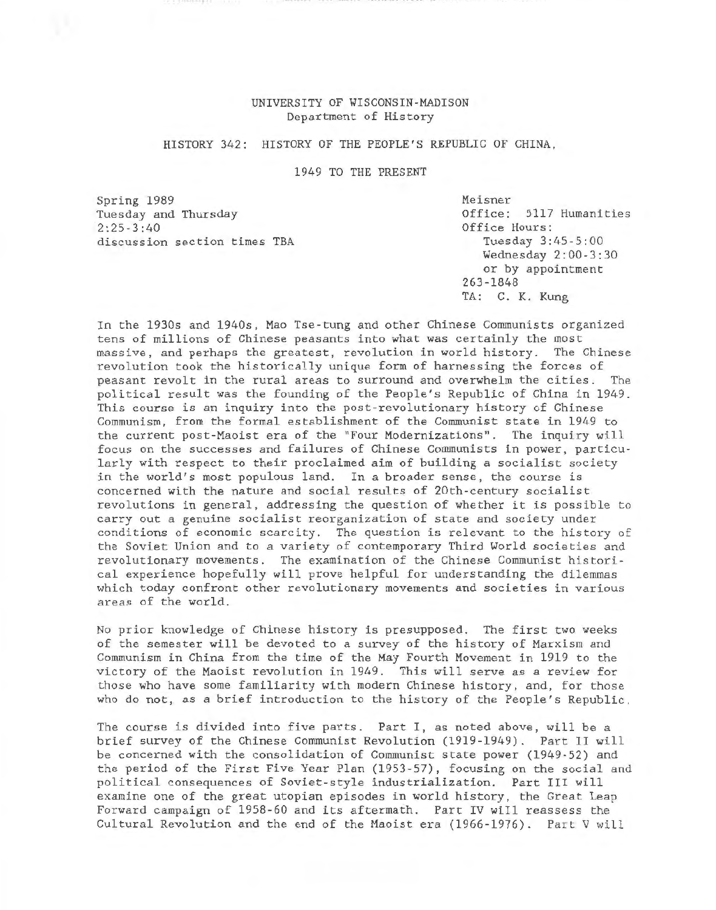# UNIVERSITY OF WISCONSIN-MADISON Department of History

# HISTORY 342: HISTORY OF THE PEOPLE'S REPUBLIC OF CHINA,

1949 TO THE PRESENT

Spring 1989 Tuesday and Thursday  $2:25-3:40$ discussion section times TBA Meisner Office: 5117 Humanities Office Hours: Tuesday 3:45-5:00 Wednesday 2:00-3:30 or by appointment 263-1848 TA: C. K. Kung

In the 1930s and 1940s, Mao Tse-tung and other Chinese Communists organized tens of millions of Chinese peasants into what was certainly the most massive, and perhaps the greatest, revolution in world history. The Chinese revolution took the historically unique form of harnessing the forces of peasant revolt in the rural areas to surround and overwhelm the cities. The political result was the founding of the People's Republic of China in 1949. This course is an inquiry into the post-revolutionary history of Chinese Communism, from the formal establishment of the Communist state in 1949 to the current post-Maoist era of the "Four Modernizations". The inquiry will focus on the successes and failures of Chinese Communists in power, particularly with respect to their proclaimed aim of building a socialist society in the world's most populous land. In a broader sense, the course is concerned with the nature and social results of 20th-century socialist revolutions in general, addressing the question of whether it is possible to carry out a genuine socialist reorganization of state and society under conditions of economic scarcity. The question is relevant to the history of the Soviet Union and to a variety of contemporary Third World societies and revolutionary movements. The examination of the Chinese Communist historical experience hopefully will prove helpful for understanding the dilemmas which today confront other revolutionary movements and societies in various areas of the world.

No prior knowledge of Chinese history is presupposed. The first two weeks of the semester will be devoted to a survey of the history of Marxism and Communism in China from the time of the May Fourth Movement in 1919 to the victory of the Maoist revolution in 1949. This will serve as a review for those who have some familiarity with modern Chinese history, and, for those who do not, as a brief introduction to the history of the People's Republic.

The course is divided into five parts. Part I, as noted above, will be a brief survey of the Chinese Communist Revolution (1919-1949). Part II will be concerned with the consolidation of Communist state power (1949-52) and the period of the First Five Year Plan (1953-57), focusing on the social and political consequences of Soviet-style industrialization. Part III will examine one of the great utopian episodes in world history, the Great Leap Forward campaign of 1958-60 and its aftermath. Part IV will reassess the Cultural Revolution and the end of the Maoist era (1966-1976). Part V will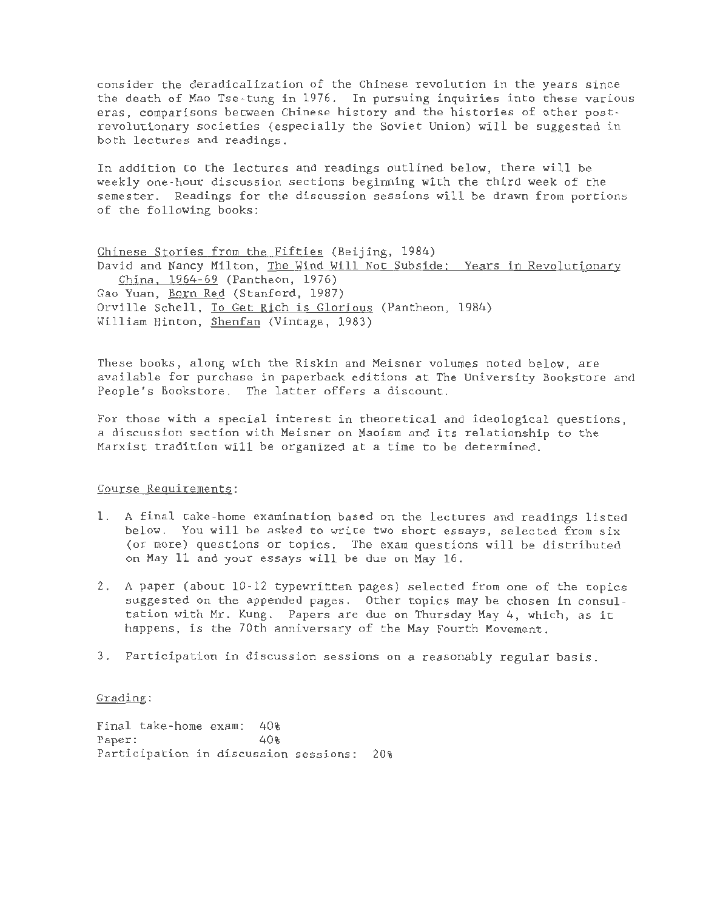consider the deradicalization of the Chinese revolution in the years since the death of Mao Tse-tung in 1976. In pursuing inquiries into these various eras, comparisons between Chinese history and the histories of other postrevolutionary societies (especially the Soviet Union) will be suggested in both lectures and readings.

In addition to the lectures and readings outlined below, there will be weekly one-hour discussion sections beginning with the third week of the semester. Readings for the discussion sessions will be drawn from portions of the following books:

Chinese Stories from the Fifties (Beijing, 1984) David and Nancy Milton, The Wind Will Not Subside: Years in Revolutionary China. 1964-69 (Pantheon, 1976) Gao Yuan, Born Red (Stanford, 1987) Orville Schell, To Get Rich is Glorious (Pantheon, 1984) William Hinton, Shenfan (Vintage, 1983)

These books, along with the Riskin and Meisner volumes noted below, are available for purchase in paperback editions at The University Bookstore and People's Bookstore. The latter offers a discount.

For those with a special interest in theoretical and ideological questions, a discussion section with Meisner on Maoism and its relationship to the Marxist tradition will be organized at a time to be determined.

#### Course Requirements:

- 1. A final take-home examination based on the lectures and readings listed below. You will be asked to write two short essays, selected from six (or more) questions or topics. The exam questions will be distributed on May 11 and your essays will be due on May 16.
- 2. A paper (about 10-12 typewritten pages) selected from one of the topics suggested on the appended pages. Other topics may be chosen in consultation with Mr. Kung. Papers are due on Thursday May 4, which, as it happens, is the 70th anniversary of the May Fourth Movement.
- 3. Participation in discussion sessions on a reasonably regular basis.

## Grading:

Final take-home exam: 40% Paper:  $40%$ Participation in discussion sessions: 20%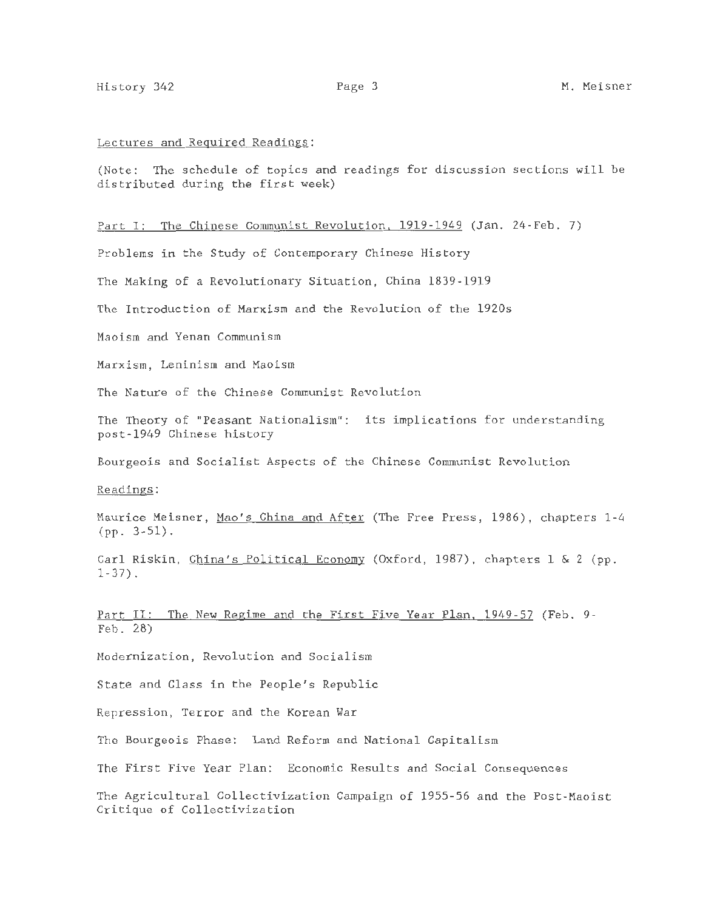### Lectures and Required Readings:

(Note: The schedule of topics and readings for discussion sections will be distributed during the first week)

# Part I: The Chinese Communist Revolution, 1919-1949 (Jan. 24-Feb. 7)

Problems in the Study of Contemporary Chinese History

The Making of a Revolutionary Situation, China 1839-1919

The Introduction of Marxism and the Revolution of the 1920s

Maoism and Yenan Communism

Marxism, Leninism and Maoism

The Nature of the Chinese Communist Revolution

The Theory of "Peasant Nationalism": its implications for understanding post-1949 Chinese history

Bourgeois and Socialist Aspects of the Chinese Communist Revolution

Readings:

Maurice Meisner, Mao's China and After (The Free Press, 1986), chapters 1-4 (pp. 3-51).

Carl Riskin, China's Political Economy (Oxford, 1987), chapters 1 & 2 (pp.  $1 - 37$ ).

Part II: The New Regime and the First Five Year Plan, 1949-57 (Feb. 9-Feb. 28)

Modernization, Revolution and Socialism

State and Class in the People's Republic

Repression, Terror and the Korean War

The Bourgeois Phase: Land Reform and National Capitalism

The First Five Year Plan: Economic Results and Social Consequences

The Agricultural Collectivization Campaign of 1955-56 and the Post-Maoist Critique of Collectivization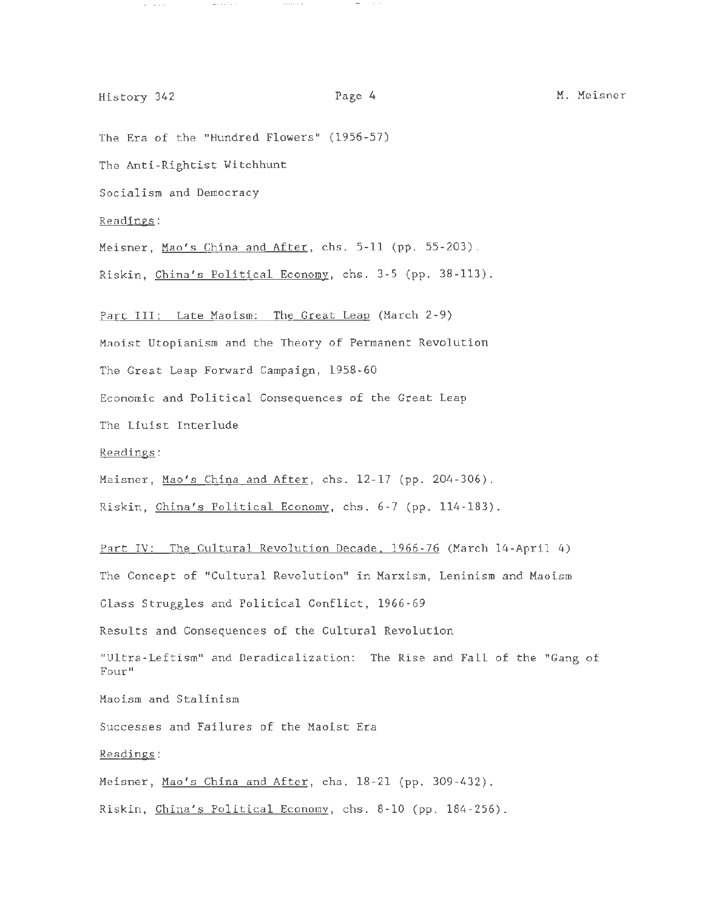# History 342 **Page 4** M. Meisner

 $\sigma_{\rm{eff}}$  and  $\sigma_{\rm{eff}}$ 

The Era of the "Hundred Flowers" (1956-57)

 $\mathcal{L}_{\mathcal{A}}$  and  $\mathcal{L}_{\mathcal{A}}$  are  $\mathcal{L}_{\mathcal{A}}$  .

The Anti-Rightist Witchhunt

Socialism and Democracy

Readings:

Meisner, Mao's China and After, chs. 5-11 (pp. 55-203).

 $\sim$  - and a set of  $\sim$ 

Riskin, China's Political Economy, chs. 3-5 (pp. 38-113).

Part III: Late Maoism: The Great Leap (March 2-9)

Maoist Utopianism and the Theory of Permanent Revolution

The Great Leap Forward Campaign, 1958-60

Economic and Political Consequences of the Great Leap

The Liuist Interlude

Readings:

Meisner, Mao's China and After, chs. 12-17 (pp. 204-306).

Riskin, China's Political Economy, chs. 6-7 (pp. 114-183).

Part IV: The Cultural Revolution Decade. 1966-76 (March 14-April 4) The Concept of "Cultural Revolution" in Marxism, Leninism and Maoism Class Struggles and Political Conflict, 1966-69

Results and Consequences of the Cultural Revolution

"Ultra-Leftism" and Deradicalization: The Rise and Fall of the "Gang of Four"

Maoism and Stalinism

Successes and Failures of the Maoist Era

Readings:

Meisner, Mao's China and After, chs. 18-21 (pp. 309-432).

Riskin, China's Political Economy, chs. 8-10 (pp. 184-256).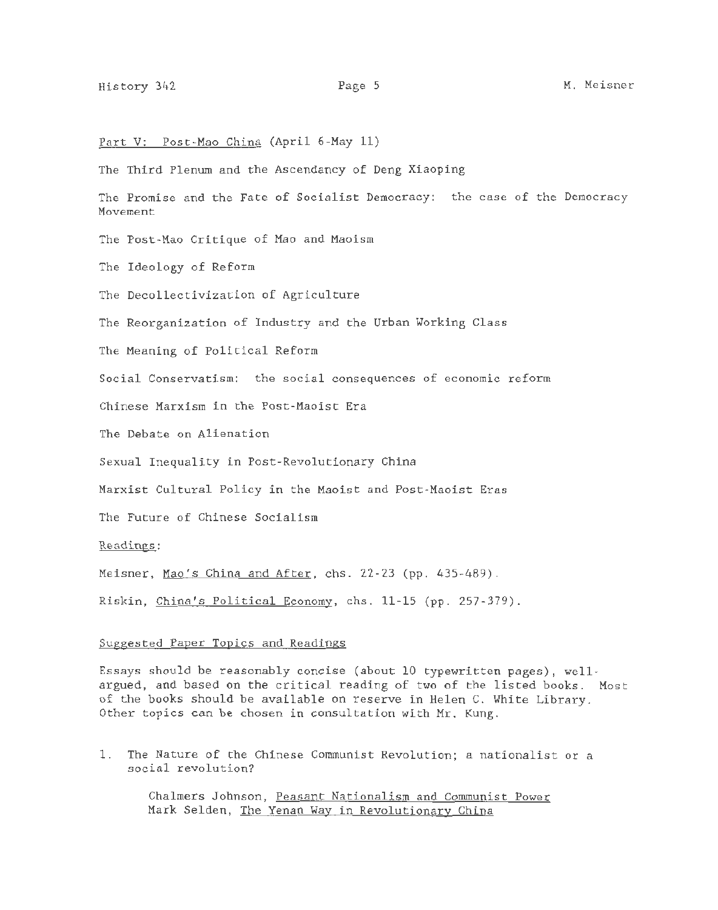# Part V: Post-Mao China (April 6-May 11)

The Third Plenum and the Ascendancy of Deng Xiaoping

The Promise and the Fate of Socialist Democracy: the case of the Democracy Movement

The Post-Mao Critique of Mao and Maoism

The Ideology of Reform

The Decollectivization of Agriculture

The Reorganization of Industry and the Urban Working Class

The Meaning of Political Reform

Social Conservatism: the social consequences of economic reform

Chinese Marxism in the Post-Maoist Era

The Debate on Alienation

Sexual Inequality in Post-Revolutionary China

Marxist Cultural Policy in the Maoist and Post-Maoist Eras

The Future of Chinese Socialism

Readings:

Meisner, Mao's China and After, chs. 22-23 (pp. 435-489).

Riskin, China's Political Economy, chs. 11-15 (pp. 257-379).

## Suggested Paper Topics and Readings

Essays should be reasonably concise (about 10 typewritten pages), wellargued, and based on the critical reading of two of the listed books. Most of the books should be available on reserve in Helen C. White Library. Other topics can be chosen in consultation with Mr. Kung.

1. The Nature of the Chinese Communist Revolution; a nationalist or a social revolution?

Chalmers Johnson, Peasant Nationalism and Communist Power Mark Selden, The Yenan Way in Revolutionary China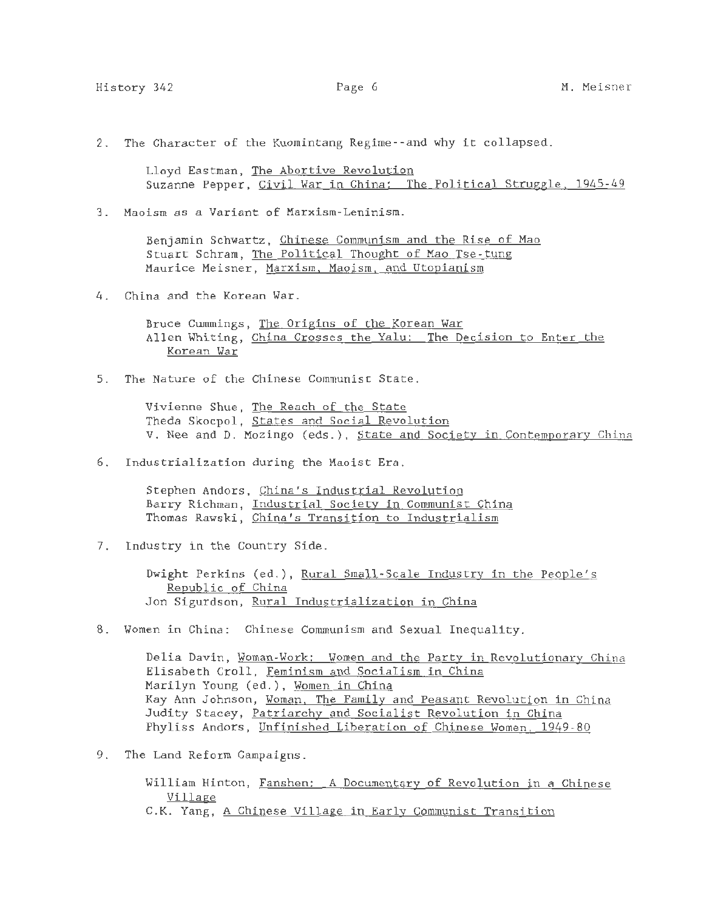2. The Character of the Kuomintang Regime--and why it collapsed.

Lloyd Eastman, The Abortive Revolution Suzanne Pepper, Civil War in China: The Political Struggle, 1945-49

3. Maoism as a Variant of Marxism-Leninism.

Benjamin Schwartz, Chinese Communism and the Rise of Mao Stuart Schram, The Political Thought of Mao Tse-tung Maurice Meisner, Marxism. Maoism. and Utopianism

4. China and the Korean War.

Bruce Cummings, The Origins of the Korean War Allen Whiting, China Crosses the Yalu: The Decision to Enter the Korean War

5. The Nature of the Chinese Communist State.

Vivienne Shue, The Reach of the State Theda Skocpol, States and Social Revolution V. Nee and D. Mozingo (eds.), State and Society in Contemporary China

6. Industrialization during the Maoist Era.

Stephen Andors, China's Industrial Revolution Barry Richman, Industrial Society in Communist China Thomas Rawski, China's Transition to Industrialism

7. Industry in the Country Side.

Dwight Perkins (ed.), Rural Small-Scale Industry in the People 's Republic of China Jon Sigurdson, Rural Industrialization in China

8. Women in China: Chinese Communism and Sexual Inequality.

Delia Davin, Woman-Work: Women and the Party in Revolutionary China Elisabeth Croll, Feminism and Socialism in China Marilyn Young (ed.), Women in China Kay Ann Johnson, Woman. The Family and Peasant Revolution in China Judity Stacey, Patriarchy and Socialist Revolution in China Phyliss Andors, Unfinished Liberation of Chinese Women. 1949-80

9. The Land Reform Campaigns.

William Hinton, Fanshen: A Documentary of Revolution in a Chinese Village C.K. Yang, A Chinese Village in Early Communist Transition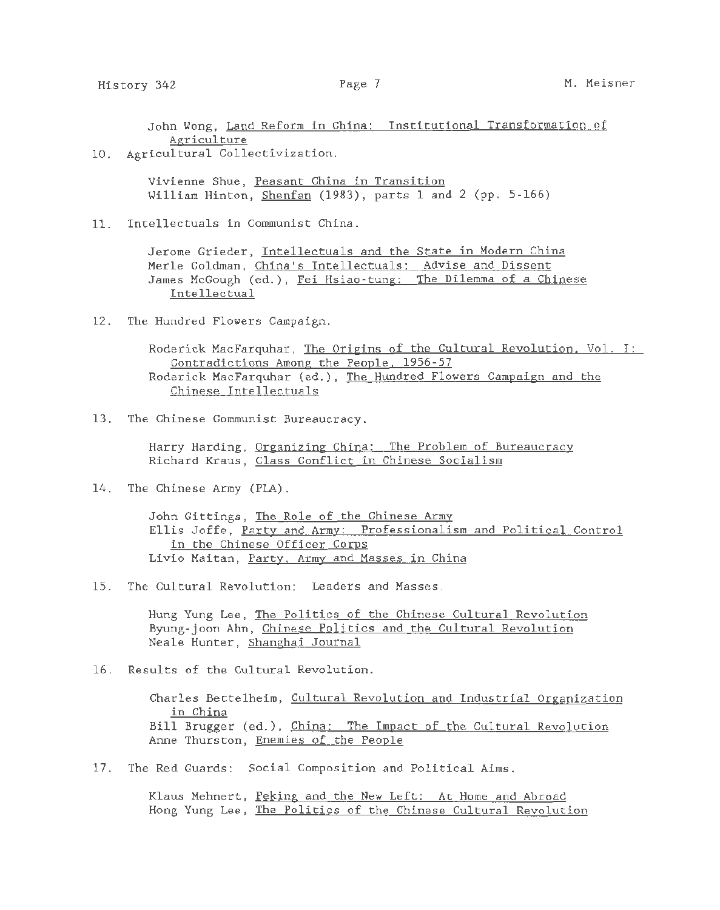John Wong, Land Reform in China: Institutional Transformation of Agriculture

10. Agricultural Collectivization.

Vivienne Shue, Peasant China in Transition William Hinton, Shenfan (1983), parts 1 and 2 (pp. 5-166)

11. Intellectuals in Communist China.

Jerome Grieder, Intellectuals and the State in Modern China Merle Goldman, China's Intellectuals: Advise and Dissent James McGough (ed.), Fei Hsiao-tung: The Dilemma of a Chinese Intellectual

12. The Hundred Flowers Campaign.

Roderick MacFarquhar, The Origins of the Cultural Revolution, Vol. I: Contradictions Among the People. 1956-57 Roderick MacFarquhar (ed.), The Hundred Flowers Campaign and the Chinese Intellectuals

13. The Chinese Communist Bureaucracy.

Harry Harding, Organizing China: The Problem of Bureaucracy Richard Kraus, Class Conflict in Chinese Socialism

14. The Chinese Army (PLA).

John Gittings, The Role of the Chinese Army Ellis Joffe, Party and Army: Professionalism and Political Control in the Chinese Officer Corps Livio Maitan, Party, Army and Masses in China

15. The Cultural Revolution: Leaders and Masses.

Hung Yung Lee, The Politics of the Chinese Cultural Revolution Byung-joon Ahn, Chinese Politics and the Cultural Revolution Neale Hunter, Shanghai Journal

16. Results of the Cultural Revolution.

Charles Bettelheim, Cultural Revolution and Industrial Organization in China Bill Brugger (ed.), China: The Impact of the Cultural Revolution Anne Thurston, Enemies of the People

17. The Red Guards: Social Composition and Political Aims.

Klaus Mehnert, Peking and the New Left: At Home and Abroad Hong Yung Lee, The Politics of the Chinese Cultural Revolution